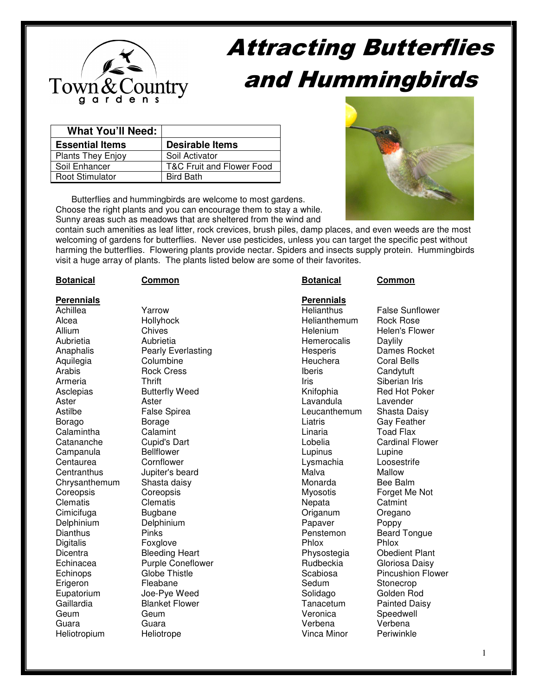

# Attracting Butterflies and Hummingbirds

| <b>What You'll Need:</b> |                           |
|--------------------------|---------------------------|
| <b>Essential Items</b>   | <b>Desirable Items</b>    |
| <b>Plants They Enjoy</b> | Soil Activator            |
| Soil Enhancer            | T&C Fruit and Flower Food |
| Root Stimulator          | <b>Bird Bath</b>          |

Butterflies and hummingbirds are welcome to most gardens. Choose the right plants and you can encourage them to stay a while. Sunny areas such as meadows that are sheltered from the wind and



contain such amenities as leaf litter, rock crevices, brush piles, damp places, and even weeds are the most welcoming of gardens for butterflies. Never use pesticides, unless you can target the specific pest without harming the butterflies. Flowering plants provide nectar. Spiders and insects supply protein. Hummingbirds visit a huge array of plants. The plants listed below are some of their favorites.

| <b>Botanical</b> | Common                   | <b>Botanical</b>  | Common                   |
|------------------|--------------------------|-------------------|--------------------------|
| Perennials       |                          | <b>Perennials</b> |                          |
| Achillea         | Yarrow                   | <b>Helianthus</b> | <b>False Sunflower</b>   |
| Alcea            | Hollyhock                | Helianthemum      | Rock Rose                |
| Allium           | Chives                   | Helenium          | Helen's Flower           |
| Aubrietia        | Aubrietia                | Hemerocalis       | Daylily                  |
| Anaphalis        | Pearly Everlasting       | Hesperis          | Dames Rocket             |
| Aquilegia        | Columbine                | Heuchera          | <b>Coral Bells</b>       |
| Arabis           | <b>Rock Cress</b>        | Iberis            | Candytuft                |
| Armeria          | <b>Thrift</b>            | Iris              | Siberian Iris            |
| Asclepias        | <b>Butterfly Weed</b>    | Knifophia         | Red Hot Poker            |
| Aster            | Aster                    | Lavandula         | Lavender                 |
| Astilbe          | <b>False Spirea</b>      | Leucanthemum      | Shasta Daisy             |
| Borago           | Borage                   | Liatris           | <b>Gay Feather</b>       |
| Calamintha       | Calamint                 | Linaria           | <b>Toad Flax</b>         |
| Catananche       | Cupid's Dart             | Lobelia           | <b>Cardinal Flower</b>   |
| Campanula        | <b>Bellflower</b>        | Lupinus           | Lupine                   |
| Centaurea        | Cornflower               | Lysmachia         | Loosestrife              |
| Centranthus      | Jupiter's beard          | Malva             | Mallow                   |
| Chrysanthemum    | Shasta daisy             | Monarda           | Bee Balm                 |
| Coreopsis        | Coreopsis                | Myosotis          | Forget Me Not            |
| Clematis         | Clematis                 | Nepata            | Catmint                  |
| Cimicifuga       | <b>Bugbane</b>           | Origanum          | Oregano                  |
| Delphinium       | Delphinium               | Papaver           | Poppy                    |
| Dianthus         | <b>Pinks</b>             | Penstemon         | <b>Beard Tongue</b>      |
| Digitalis        | Foxglove                 | Phlox             | Phlox                    |
| Dicentra         | <b>Bleeding Heart</b>    | Physostegia       | <b>Obedient Plant</b>    |
| Echinacea        | <b>Purple Coneflower</b> | Rudbeckia         | Gloriosa Daisy           |
| Echinops         | <b>Globe Thistle</b>     | Scabiosa          | <b>Pincushion Flower</b> |
| Erigeron         | Fleabane                 | Sedum             | Stonecrop                |
| Eupatorium       | Joe-Pye Weed             | Solidago          | Golden Rod               |
| Gaillardia       | <b>Blanket Flower</b>    | Tanacetum         | <b>Painted Daisy</b>     |
| Geum             | Geum                     | Veronica          | Speedwell                |
| Guara            | Guara                    | Verbena           | Verbena                  |

Heliotropium Heliotrope Vinca Minor Periwinkle